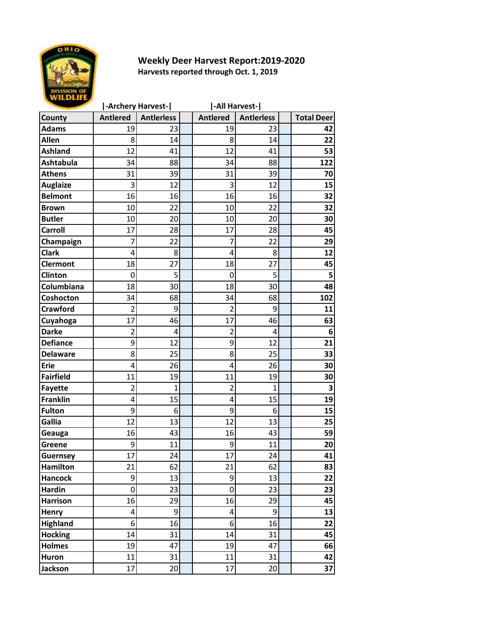

## **Weekly Deer Harvest Report:2019-2020 Harvests reported through Oct. 1, 2019**

|                  | -Archery Harvest- |                   | -All Harvest- |                 |                   |  |                   |
|------------------|-------------------|-------------------|---------------|-----------------|-------------------|--|-------------------|
| County           | <b>Antlered</b>   | <b>Antlerless</b> |               | <b>Antlered</b> | <b>Antlerless</b> |  | <b>Total Deer</b> |
| <b>Adams</b>     | 19                | 23                |               | 19              | 23                |  | 42                |
| <b>Allen</b>     | 8                 | 14                |               | 8               | 14                |  | 22                |
| <b>Ashland</b>   | 12                | 41                |               | 12              | 41                |  | 53                |
| <b>Ashtabula</b> | 34                | 88                |               | 34              | 88                |  | 122               |
| <b>Athens</b>    | 31                | 39                |               | 31              | 39                |  | 70                |
| <b>Auglaize</b>  | 3                 | 12                |               | 3               | 12                |  | 15                |
| <b>Belmont</b>   | 16                | 16                |               | 16              | 16                |  | 32                |
| <b>Brown</b>     | 10                | 22                |               | 10              | 22                |  | 32                |
| <b>Butler</b>    | 10                | 20                |               | 10              | 20                |  | 30                |
| <b>Carroll</b>   | 17                | 28                |               | 17              | 28                |  | 45                |
| Champaign        | 7                 | 22                |               | 7               | 22                |  | 29                |
| <b>Clark</b>     | 4                 | 8                 |               | 4               | 8                 |  | 12                |
| <b>Clermont</b>  | 18                | 27                |               | 18              | 27                |  | 45                |
| Clinton          | 0                 | 5                 |               | 0               | 5                 |  | 5                 |
| Columbiana       | 18                | 30                |               | 18              | 30                |  | 48                |
| Coshocton        | 34                | 68                |               | 34              | 68                |  | 102               |
| <b>Crawford</b>  | $\overline{2}$    | 9                 |               | 2               | 9                 |  | 11                |
| Cuyahoga         | 17                | 46                |               | 17              | 46                |  | 63                |
| <b>Darke</b>     | $\overline{2}$    | 4                 |               | $\overline{2}$  | 4                 |  | 6                 |
| <b>Defiance</b>  | 9                 | 12                |               | 9               | 12                |  | 21                |
| <b>Delaware</b>  | 8                 | 25                |               | 8               | 25                |  | 33                |
| <b>Erie</b>      | 4                 | 26                |               | 4               | 26                |  | 30                |
| <b>Fairfield</b> | 11                | 19                |               | 11              | 19                |  | 30                |
| <b>Fayette</b>   | $\overline{2}$    | 1                 |               | $\overline{2}$  | 1                 |  | 3                 |
| <b>Franklin</b>  | 4                 | 15                |               | 4               | 15                |  | 19                |
| <b>Fulton</b>    | 9                 | 6                 |               | 9               | 6                 |  | 15                |
| Gallia           | 12                | 13                |               | 12              | 13                |  | 25                |
| Geauga           | 16                | 43                |               | 16              | 43                |  | 59                |
| Greene           | 9                 | 11                |               | 9               | 11                |  | 20                |
| Guernsey         | 17                | 24                |               | 17              | 24                |  | 41                |
| <b>Hamilton</b>  | 21                | 62                |               | 21              | 62                |  | 83                |
| <b>Hancock</b>   | $\boldsymbol{9}$  | 13                |               | $\overline{9}$  | 13                |  | 22                |
| <b>Hardin</b>    | 0                 | 23                |               | $\mathbf 0$     | 23                |  | 23                |
| <b>Harrison</b>  | 16                | 29                |               | 16              | 29                |  | 45                |
| <b>Henry</b>     | 4                 | 9                 |               | 4               | 9                 |  | 13                |
| <b>Highland</b>  | 6                 | 16                |               | 6 <sup>1</sup>  | 16                |  | 22                |
| <b>Hocking</b>   | 14                | 31                |               | 14              | 31                |  | 45                |
| <b>Holmes</b>    | 19                | 47                |               | 19              | 47                |  | 66                |
| <b>Huron</b>     | 11                | 31                |               | 11              | 31                |  | 42                |
| <b>Jackson</b>   | 17                | 20                |               | 17              | 20                |  | 37                |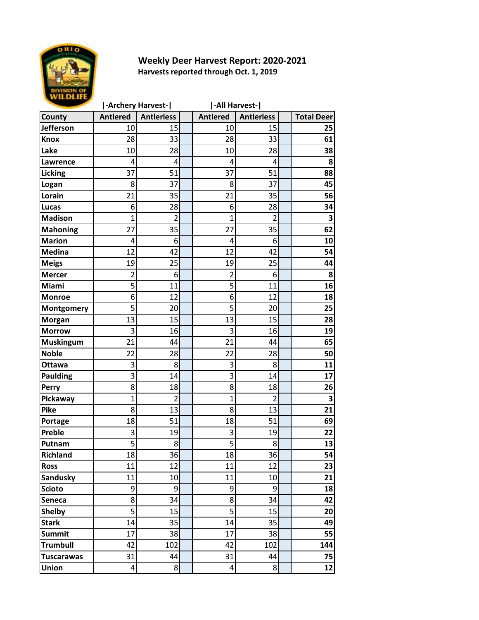

## **Weekly Deer Harvest Report: 2020-2021 Harvests reported through Oct. 1, 2019**

|                   | -Archery Harvest-       |                   | -All Harvest-   |                   |  |                         |  |
|-------------------|-------------------------|-------------------|-----------------|-------------------|--|-------------------------|--|
| County            | <b>Antlered</b>         | <b>Antlerless</b> | <b>Antlered</b> | <b>Antierless</b> |  | <b>Total Deer</b>       |  |
| <b>Jefferson</b>  | 10                      | 15                | 10              | 15                |  | 25                      |  |
| <b>Knox</b>       | 28                      | 33                | 28              | 33                |  | 61                      |  |
| Lake              | 10                      | 28                | 10              | 28                |  | 38                      |  |
| <b>Lawrence</b>   | 4                       | 4                 | 4               | 4                 |  | 8                       |  |
| <b>Licking</b>    | 37                      | 51                | 37              | 51                |  | 88                      |  |
| Logan             | 8                       | 37                | 8               | 37                |  | 45                      |  |
| Lorain            | 21                      | 35                | 21              | 35                |  | 56                      |  |
| <b>Lucas</b>      | 6                       | 28                | 6               | 28                |  | 34                      |  |
| <b>Madison</b>    | $\mathbf{1}$            | $\overline{2}$    | 1               | $\overline{2}$    |  | 3                       |  |
| <b>Mahoning</b>   | 27                      | 35                | 27              | 35                |  | 62                      |  |
| <b>Marion</b>     | 4                       | 6                 | 4               | 6                 |  | 10                      |  |
| <b>Medina</b>     | 12                      | 42                | 12              | 42                |  | 54                      |  |
| <b>Meigs</b>      | 19                      | 25                | 19              | 25                |  | 44                      |  |
| <b>Mercer</b>     | 2                       | 6                 | 2               | 6                 |  | 8                       |  |
| Miami             | 5                       | 11                | 5               | 11                |  | 16                      |  |
| <b>Monroe</b>     | 6                       | 12                | 6               | 12                |  | 18                      |  |
| Montgomery        | 5                       | 20                | 5               | 20                |  | 25                      |  |
| <b>Morgan</b>     | 13                      | 15                | 13              | 15                |  | 28                      |  |
| <b>Morrow</b>     | 3                       | 16                | 3               | 16                |  | 19                      |  |
| <b>Muskingum</b>  | 21                      | 44                | 21              | 44                |  | 65                      |  |
| <b>Noble</b>      | 22                      | 28                | 22              | 28                |  | 50                      |  |
| Ottawa            | 3                       | 8                 | 3               | 8                 |  | 11                      |  |
| <b>Paulding</b>   | 3                       | 14                | 3               | 14                |  | 17                      |  |
| Perry             | 8                       | 18                | 8               | 18                |  | 26                      |  |
| Pickaway          | $\overline{1}$          | $\overline{c}$    | $\overline{1}$  | $\overline{2}$    |  | $\overline{\mathbf{3}}$ |  |
| Pike              | 8                       | 13                | 8               | 13                |  | 21                      |  |
| Portage           | 18                      | 51                | 18              | 51                |  | 69                      |  |
| Preble            | 3                       | 19                | 3               | 19                |  | 22                      |  |
| Putnam            | 5                       | 8                 | 5               | 8                 |  | 13                      |  |
| <b>Richland</b>   | 18                      | 36                | 18              | 36                |  | 54                      |  |
| <b>Ross</b>       | 11                      | 12                | 11              | 12                |  | 23                      |  |
| Sandusky          | 11                      | 10                | 11              | 10                |  | 21                      |  |
| <b>Scioto</b>     | 9                       | 9                 | 9               | 9                 |  | 18                      |  |
| Seneca            | 8                       | 34                | 8               | 34                |  | 42                      |  |
| <b>Shelby</b>     | 5                       | 15                | 5               | 15                |  | 20                      |  |
| <b>Stark</b>      | 14                      | 35                | 14              | 35                |  | 49                      |  |
| <b>Summit</b>     | 17                      | 38                | 17              | 38                |  | 55                      |  |
| <b>Trumbull</b>   | 42                      | 102               | 42              | 102               |  | 144                     |  |
| <b>Tuscarawas</b> | 31                      | 44                | 31              | 44                |  | 75                      |  |
| <b>Union</b>      | $\overline{\mathbf{4}}$ | 8                 | 4               | 8                 |  | 12                      |  |